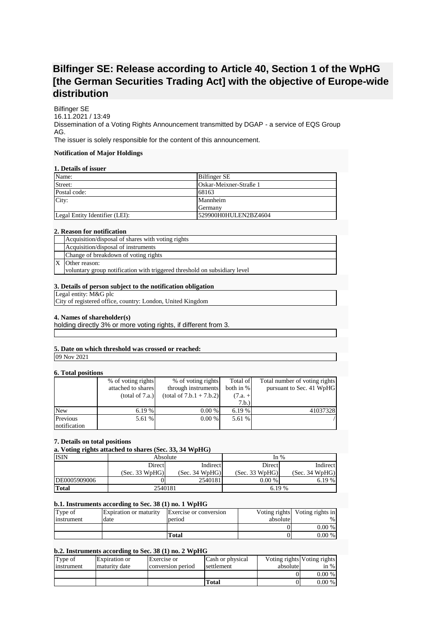# **Bilfinger SE: Release according to Article 40, Section 1 of the WpHG [the German Securities Trading Act] with the objective of Europe-wide distribution**

Bilfinger SE 16.11.2021 / 13:49 Dissemination of a Voting Rights Announcement transmitted by DGAP - a service of EQS Group AG. The issuer is solely responsible for the content of this announcement.

# **Notification of Major Holdings**

# **1. Details of issuer**

| Name:                          | <b>Bilfinger SE</b>    |
|--------------------------------|------------------------|
| Street:                        | Oskar-Meixner-Straße 1 |
| Postal code:                   | 68163                  |
| City:                          | Mannheim               |
|                                | Germany                |
| Legal Entity Identifier (LEI): | 529900H0HULEN2BZ4604   |

## **2. Reason for notification**

| Acquisition/disposal of shares with voting rights                         |
|---------------------------------------------------------------------------|
| Acquisition/disposal of instruments                                       |
| Change of breakdown of voting rights                                      |
| Other reason:                                                             |
| voluntary group notification with triggered threshold on subsidiary level |

# **3. Details of person subject to the notification obligation**

Legal entity: M&G plc

City of registered office, country: London, United Kingdom

## **4. Names of shareholder(s)**

holding directly 3% or more voting rights, if different from 3.

# **5. Date on which threshold was crossed or reached:**

09 Nov 2021

# **6. Total positions**

| .            |                    |                            |           |                               |
|--------------|--------------------|----------------------------|-----------|-------------------------------|
|              | % of voting rights | % of voting rights         | Total of  | Total number of voting rights |
|              | attached to shares | through instruments        | both in % | pursuant to Sec. 41 WpHG      |
|              | (total of 7.a.)    | $(total of 7.b.1 + 7.b.2)$ | $(7.a. +$ |                               |
|              |                    |                            | 7.b.)     |                               |
| New          | 6.19%              | 0.00 %                     | 6.19%     | 41037328                      |
| Previous     | 5.61 %             | $0.00\%$                   | 5.61 %    |                               |
| notification |                    |                            |           |                               |

#### **7. Details on total positions**

# **a. Voting rights attached to shares (Sec. 33, 34 WpHG)**

| <b>ISIN</b>  | Absolute       |                | In $%$         |                |
|--------------|----------------|----------------|----------------|----------------|
|              | Direct         | Indirect       | Direct         | Indirect       |
|              | (Sec. 33 WpHG) | (Sec. 34 WpHG) | (Sec. 33 WpHG) | (Sec. 34 WpHG) |
| DE0005909006 |                | 2540181        | $0.00\%$       | 6.19 %         |
| <b>Total</b> | 2540181        |                | 6.19 %         |                |

# **b.1. Instruments according to Sec. 38 (1) no. 1 WpHG**

| Type of    | <b>Expiration or maturity</b> | Exercise or conversion |          | Voting rights Voting rights in |
|------------|-------------------------------|------------------------|----------|--------------------------------|
| instrument | date                          | period                 | absolute | %1                             |
|            |                               |                        |          | $0.00\%$                       |
|            |                               | Total                  |          | $0.00\%$                       |

# **b.2. Instruments according to Sec. 38 (1) no. 2 WpHG**

| Type of    | Expiration or | <b>Exercise</b> or | Cash or physical |          | Voting rights Voting rights |
|------------|---------------|--------------------|------------------|----------|-----------------------------|
| instrument | maturity date | conversion period  | settlement       | absolute | in $%$                      |
|            |               |                    |                  |          | $0.00\%$                    |
|            |               |                    | <b>Total</b>     |          | $0.00\%$                    |